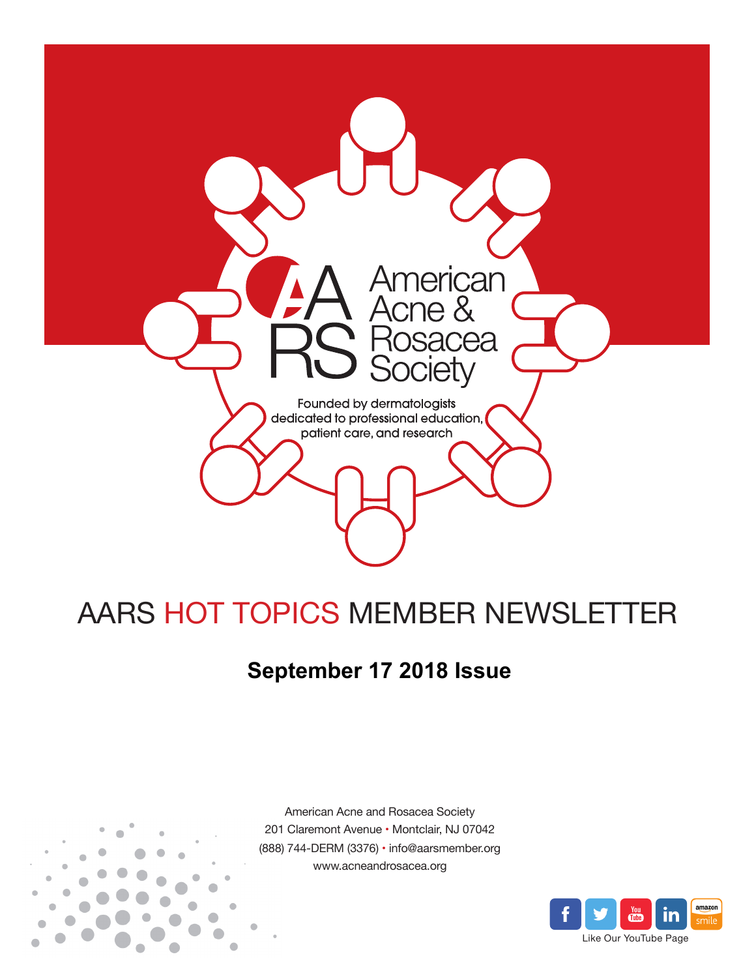

# AARS HOT TOPICS MEMBER NEWSLETTER

# **September 17 2018 Issue**



American Acne and Rosacea Society 201 Claremont Avenue • Montclair, NJ 07042 (888) 744-DERM (3376) • info@aarsmember.org www.acneandrosacea.org

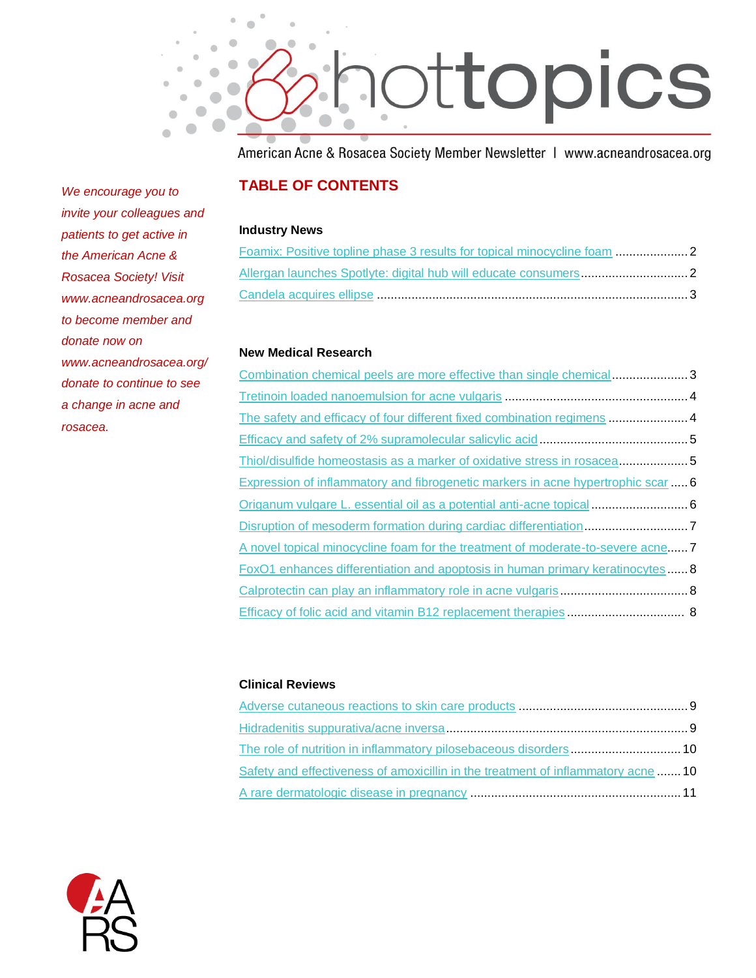

American Acne & Rosacea Society Member Newsletter | www.acneandrosacea.org

## **TABLE OF CONTENTS**

#### **Industry News**

#### **New Medical Research**

| Combination chemical peels are more effective than single chemical3              |  |
|----------------------------------------------------------------------------------|--|
|                                                                                  |  |
| The safety and efficacy of four different fixed combination regimens  4          |  |
|                                                                                  |  |
| Thiol/disulfide homeostasis as a marker of oxidative stress in rosacea5          |  |
| Expression of inflammatory and fibrogenetic markers in acne hypertrophic scar  6 |  |
| Origanum vulgare L. essential oil as a potential anti-acne topical  6            |  |
|                                                                                  |  |
| A novel topical minocycline foam for the treatment of moderate-to-severe acne 7  |  |
| FoxO1 enhances differentiation and apoptosis in human primary keratinocytes  8   |  |
|                                                                                  |  |
|                                                                                  |  |

#### **Clinical Reviews**

| Safety and effectiveness of amoxicillin in the treatment of inflammatory acne 10 |  |
|----------------------------------------------------------------------------------|--|
|                                                                                  |  |



*We encourage you to invite your colleagues and patients to get active in the American Acne & Rosacea Society! Visit www.acneandrosacea.org to become member and donate now on www.acneandrosacea.org/ donate to continue to see a change in acne and rosacea.*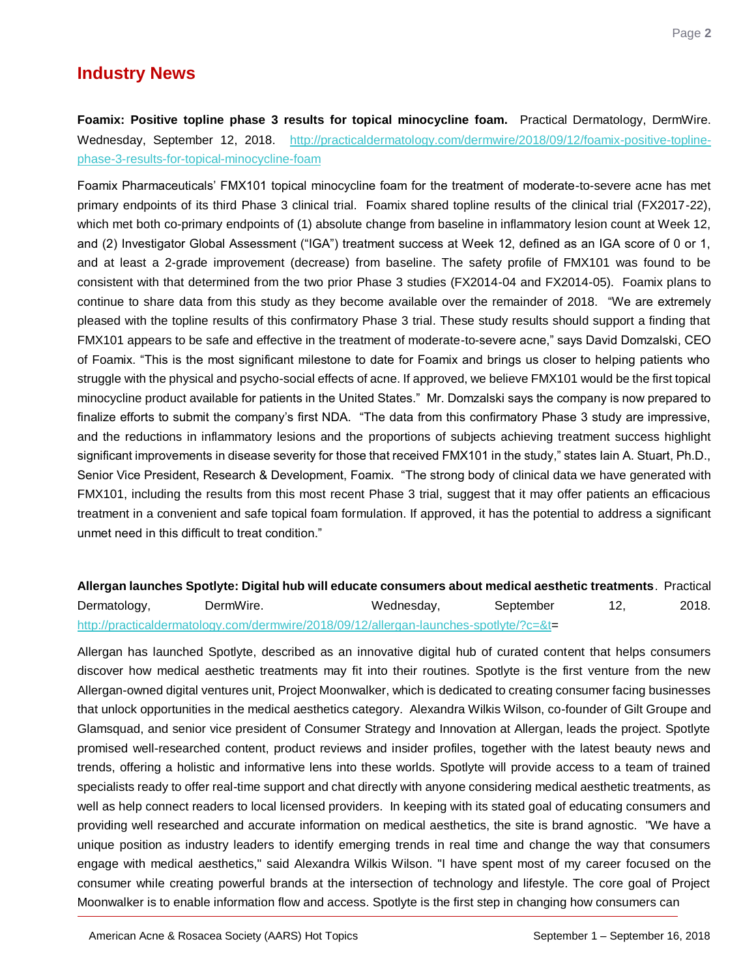<span id="page-2-0"></span>**Foamix: Positive topline phase 3 results for topical minocycline foam.** Practical Dermatology, DermWire. Wednesday, September 12, 2018. [http://practicaldermatology.com/dermwire/2018/09/12/foamix-positive-topline](http://practicaldermatology.com/dermwire/2018/09/12/foamix-positive-topline-phase-3-results-for-topical-minocycline-foam)[phase-3-results-for-topical-minocycline-foam](http://practicaldermatology.com/dermwire/2018/09/12/foamix-positive-topline-phase-3-results-for-topical-minocycline-foam)

Foamix Pharmaceuticals' FMX101 topical minocycline foam for the treatment of moderate-to-severe acne has met primary endpoints of its third Phase 3 clinical trial. Foamix shared topline results of the clinical trial (FX2017-22), which met both co-primary endpoints of (1) absolute change from baseline in inflammatory lesion count at Week 12, and (2) Investigator Global Assessment ("IGA") treatment success at Week 12, defined as an IGA score of 0 or 1, and at least a 2-grade improvement (decrease) from baseline. The safety profile of FMX101 was found to be consistent with that determined from the two prior Phase 3 studies (FX2014-04 and FX2014-05). Foamix plans to continue to share data from this study as they become available over the remainder of 2018. "We are extremely pleased with the topline results of this confirmatory Phase 3 trial. These study results should support a finding that FMX101 appears to be safe and effective in the treatment of moderate-to-severe acne," says David Domzalski, CEO of Foamix. "This is the most significant milestone to date for Foamix and brings us closer to helping patients who struggle with the physical and psycho-social effects of acne. If approved, we believe FMX101 would be the first topical minocycline product available for patients in the United States." Mr. Domzalski says the company is now prepared to finalize efforts to submit the company's first NDA. "The data from this confirmatory Phase 3 study are impressive, and the reductions in inflammatory lesions and the proportions of subjects achieving treatment success highlight significant improvements in disease severity for those that received FMX101 in the study," states Iain A. Stuart, Ph.D., Senior Vice President, Research & Development, Foamix. "The strong body of clinical data we have generated with FMX101, including the results from this most recent Phase 3 trial, suggest that it may offer patients an efficacious treatment in a convenient and safe topical foam formulation. If approved, it has the potential to address a significant unmet need in this difficult to treat condition."

### <span id="page-2-1"></span>**Allergan launches Spotlyte: Digital hub will educate consumers about medical aesthetic treatments**. Practical Dermatology, DermWire. Wednesday, September 12, 2018. [http://practicaldermatology.com/dermwire/2018/09/12/allergan-launches-spotlyte/?c=&t=](http://practicaldermatology.com/dermwire/2018/09/12/allergan-launches-spotlyte/?c=&t)

Allergan has launched Spotlyte, described as an innovative digital hub of curated content that helps consumers discover how medical aesthetic treatments may fit into their routines. Spotlyte is the first venture from the new Allergan-owned digital ventures unit, Project Moonwalker, which is dedicated to creating consumer facing businesses that unlock opportunities in the medical aesthetics category. Alexandra Wilkis Wilson, co-founder of Gilt Groupe and Glamsquad, and senior vice president of Consumer Strategy and Innovation at Allergan, leads the project. Spotlyte promised well-researched content, product reviews and insider profiles, together with the latest beauty news and trends, offering a holistic and informative lens into these worlds. Spotlyte will provide access to a team of trained specialists ready to offer real-time support and chat directly with anyone considering medical aesthetic treatments, as well as help connect readers to local licensed providers. In keeping with its stated goal of educating consumers and providing well researched and accurate information on medical aesthetics, the site is brand agnostic. "We have a unique position as industry leaders to identify emerging trends in real time and change the way that consumers engage with medical aesthetics," said Alexandra Wilkis Wilson. "I have spent most of my career focused on the consumer while creating powerful brands at the intersection of technology and lifestyle. The core goal of Project Moonwalker is to enable information flow and access. Spotlyte is the first step in changing how consumers can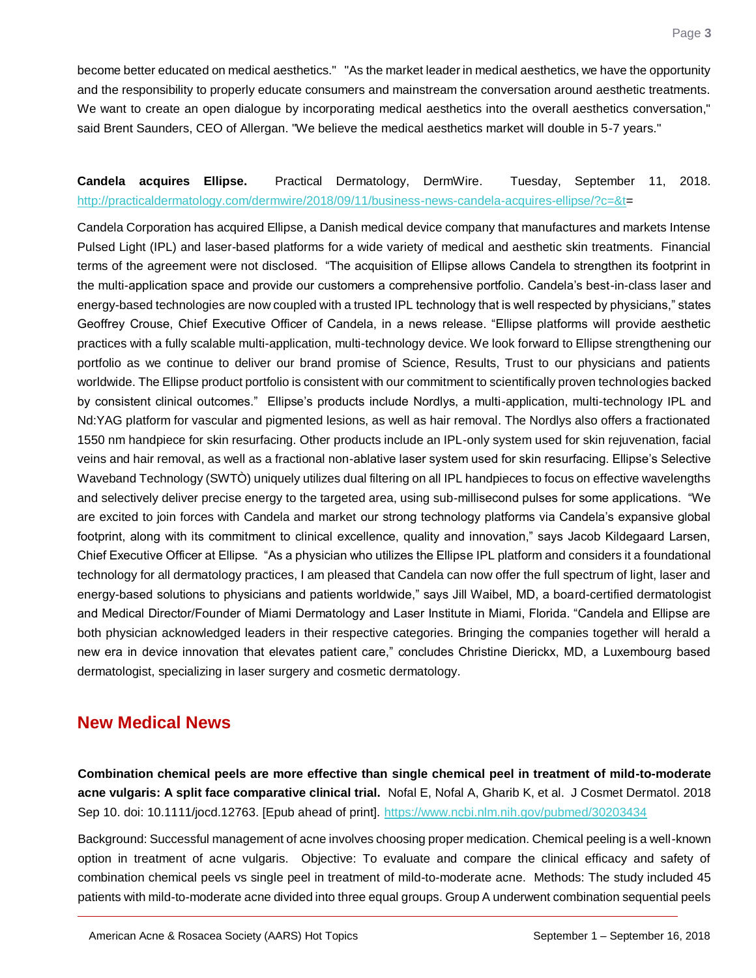become better educated on medical aesthetics." "As the market leader in medical aesthetics, we have the opportunity and the responsibility to properly educate consumers and mainstream the conversation around aesthetic treatments. We want to create an open dialogue by incorporating medical aesthetics into the overall aesthetics conversation," said Brent Saunders, CEO of Allergan. "We believe the medical aesthetics market will double in 5-7 years."

#### <span id="page-3-0"></span>**Candela acquires Ellipse.** Practical Dermatology, DermWire. Tuesday, September 11, 2018. [http://practicaldermatology.com/dermwire/2018/09/11/business-news-candela-acquires-ellipse/?c=&t=](http://practicaldermatology.com/dermwire/2018/09/11/business-news-candela-acquires-ellipse/?c=&t)

Candela Corporation has acquired Ellipse, a Danish medical device company that manufactures and markets Intense Pulsed Light (IPL) and laser-based platforms for a wide variety of medical and aesthetic skin treatments. Financial terms of the agreement were not disclosed. "The acquisition of Ellipse allows Candela to strengthen its footprint in the multi-application space and provide our customers a comprehensive portfolio. Candela's best-in-class laser and energy-based technologies are now coupled with a trusted IPL technology that is well respected by physicians," states Geoffrey Crouse, Chief Executive Officer of Candela, in a news release. "Ellipse platforms will provide aesthetic practices with a fully scalable multi-application, multi-technology device. We look forward to Ellipse strengthening our portfolio as we continue to deliver our brand promise of Science, Results, Trust to our physicians and patients worldwide. The Ellipse product portfolio is consistent with our commitment to scientifically proven technologies backed by consistent clinical outcomes." Ellipse's products include Nordlys, a multi-application, multi-technology IPL and Nd:YAG platform for vascular and pigmented lesions, as well as hair removal. The Nordlys also offers a fractionated 1550 nm handpiece for skin resurfacing. Other products include an IPL-only system used for skin rejuvenation, facial veins and hair removal, as well as a fractional non-ablative laser system used for skin resurfacing. Ellipse's Selective Waveband Technology (SWTÒ) uniquely utilizes dual filtering on all IPL handpieces to focus on effective wavelengths and selectively deliver precise energy to the targeted area, using sub-millisecond pulses for some applications. "We are excited to join forces with Candela and market our strong technology platforms via Candela's expansive global footprint, along with its commitment to clinical excellence, quality and innovation," says Jacob Kildegaard Larsen, Chief Executive Officer at Ellipse. "As a physician who utilizes the Ellipse IPL platform and considers it a foundational technology for all dermatology practices, I am pleased that Candela can now offer the full spectrum of light, laser and energy-based solutions to physicians and patients worldwide," says Jill Waibel, MD, a board-certified dermatologist and Medical Director/Founder of Miami Dermatology and Laser Institute in Miami, Florida. "Candela and Ellipse are both physician acknowledged leaders in their respective categories. Bringing the companies together will herald a new era in device innovation that elevates patient care," concludes Christine Dierickx, MD, a Luxembourg based dermatologist, specializing in laser surgery and cosmetic dermatology.

# **New Medical News**

<span id="page-3-1"></span>**Combination chemical peels are more effective than single chemical peel in treatment of mild-to-moderate acne vulgaris: A split face comparative clinical trial.** Nofal E, Nofal A, Gharib K, et al. J Cosmet Dermatol. 2018 Sep 10. doi: 10.1111/jocd.12763. [Epub ahead of print].<https://www.ncbi.nlm.nih.gov/pubmed/30203434>

Background: Successful management of acne involves choosing proper medication. Chemical peeling is a well-known option in treatment of acne vulgaris. Objective: To evaluate and compare the clinical efficacy and safety of combination chemical peels vs single peel in treatment of mild-to-moderate acne. Methods: The study included 45 patients with mild-to-moderate acne divided into three equal groups. Group A underwent combination sequential peels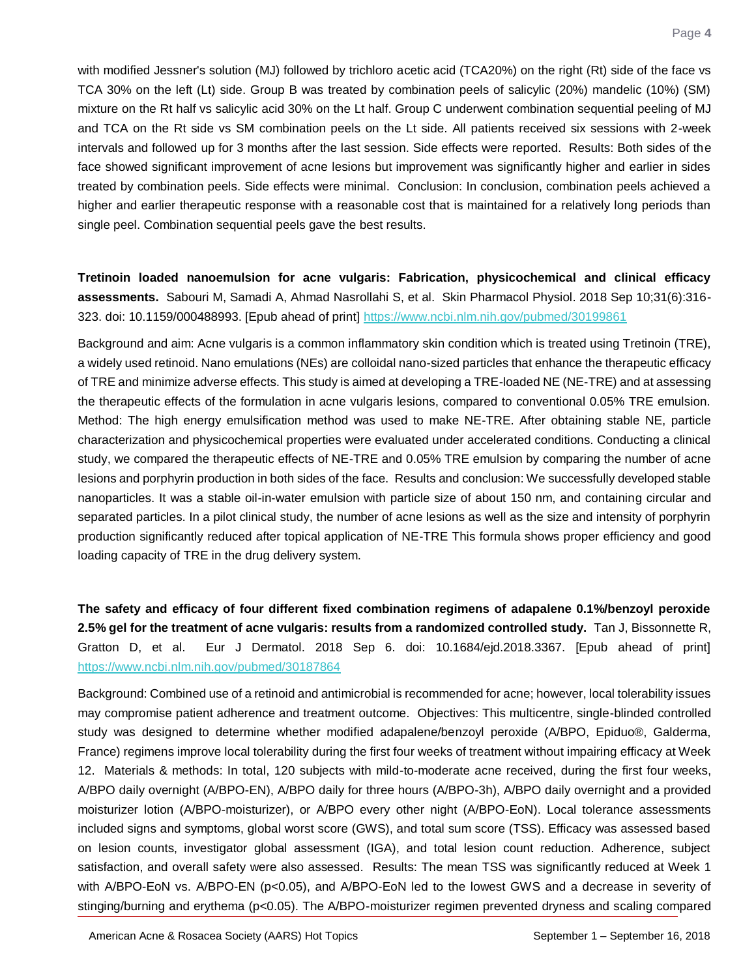with modified Jessner's solution (MJ) followed by trichloro acetic acid (TCA20%) on the right (Rt) side of the face vs TCA 30% on the left (Lt) side. Group B was treated by combination peels of salicylic (20%) mandelic (10%) (SM) mixture on the Rt half vs salicylic acid 30% on the Lt half. Group C underwent combination sequential peeling of MJ and TCA on the Rt side vs SM combination peels on the Lt side. All patients received six sessions with 2-week intervals and followed up for 3 months after the last session. Side effects were reported. Results: Both sides of the face showed significant improvement of acne lesions but improvement was significantly higher and earlier in sides treated by combination peels. Side effects were minimal. Conclusion: In conclusion, combination peels achieved a higher and earlier therapeutic response with a reasonable cost that is maintained for a relatively long periods than single peel. Combination sequential peels gave the best results.

<span id="page-4-0"></span>**Tretinoin loaded nanoemulsion for acne vulgaris: Fabrication, physicochemical and clinical efficacy assessments.** Sabouri M, Samadi A, Ahmad Nasrollahi S, et al. Skin Pharmacol Physiol. 2018 Sep 10;31(6):316- 323. doi: 10.1159/000488993. [Epub ahead of print]<https://www.ncbi.nlm.nih.gov/pubmed/30199861>

Background and aim: Acne vulgaris is a common inflammatory skin condition which is treated using Tretinoin (TRE), a widely used retinoid. Nano emulations (NEs) are colloidal nano-sized particles that enhance the therapeutic efficacy of TRE and minimize adverse effects. This study is aimed at developing a TRE-loaded NE (NE-TRE) and at assessing the therapeutic effects of the formulation in acne vulgaris lesions, compared to conventional 0.05% TRE emulsion. Method: The high energy emulsification method was used to make NE-TRE. After obtaining stable NE, particle characterization and physicochemical properties were evaluated under accelerated conditions. Conducting a clinical study, we compared the therapeutic effects of NE-TRE and 0.05% TRE emulsion by comparing the number of acne lesions and porphyrin production in both sides of the face. Results and conclusion: We successfully developed stable nanoparticles. It was a stable oil-in-water emulsion with particle size of about 150 nm, and containing circular and separated particles. In a pilot clinical study, the number of acne lesions as well as the size and intensity of porphyrin production significantly reduced after topical application of NE-TRE This formula shows proper efficiency and good loading capacity of TRE in the drug delivery system.

<span id="page-4-1"></span>**The safety and efficacy of four different fixed combination regimens of adapalene 0.1%/benzoyl peroxide 2.5% gel for the treatment of acne vulgaris: results from a randomized controlled study.** Tan J, Bissonnette R, Gratton D, et al. Eur J Dermatol. 2018 Sep 6. doi: 10.1684/ejd.2018.3367. [Epub ahead of print] <https://www.ncbi.nlm.nih.gov/pubmed/30187864>

Background: Combined use of a retinoid and antimicrobial is recommended for acne; however, local tolerability issues may compromise patient adherence and treatment outcome. Objectives: This multicentre, single-blinded controlled study was designed to determine whether modified adapalene/benzoyl peroxide (A/BPO, Epiduo®, Galderma, France) regimens improve local tolerability during the first four weeks of treatment without impairing efficacy at Week 12. Materials & methods: In total, 120 subjects with mild-to-moderate acne received, during the first four weeks, A/BPO daily overnight (A/BPO-EN), A/BPO daily for three hours (A/BPO-3h), A/BPO daily overnight and a provided moisturizer lotion (A/BPO-moisturizer), or A/BPO every other night (A/BPO-EoN). Local tolerance assessments included signs and symptoms, global worst score (GWS), and total sum score (TSS). Efficacy was assessed based on lesion counts, investigator global assessment (IGA), and total lesion count reduction. Adherence, subject satisfaction, and overall safety were also assessed. Results: The mean TSS was significantly reduced at Week 1 with A/BPO-EoN vs. A/BPO-EN (p<0.05), and A/BPO-EoN led to the lowest GWS and a decrease in severity of stinging/burning and erythema (p<0.05). The A/BPO-moisturizer regimen prevented dryness and scaling compared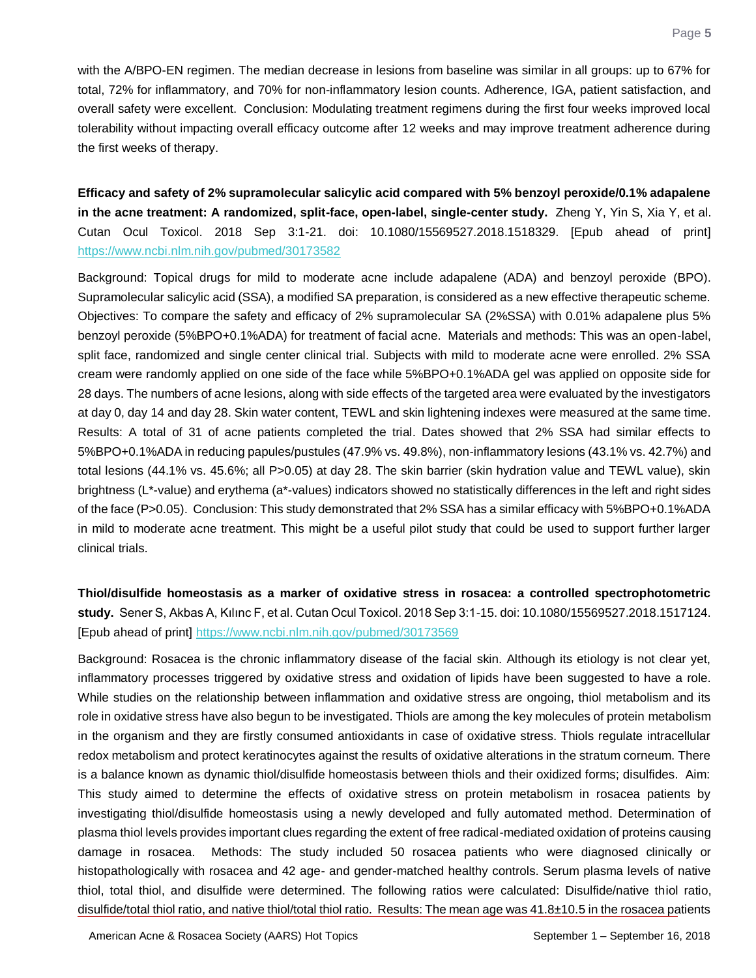with the A/BPO-EN regimen. The median decrease in lesions from baseline was similar in all groups: up to 67% for total, 72% for inflammatory, and 70% for non-inflammatory lesion counts. Adherence, IGA, patient satisfaction, and overall safety were excellent. Conclusion: Modulating treatment regimens during the first four weeks improved local tolerability without impacting overall efficacy outcome after 12 weeks and may improve treatment adherence during the first weeks of therapy.

<span id="page-5-0"></span>**Efficacy and safety of 2% supramolecular salicylic acid compared with 5% benzoyl peroxide/0.1% adapalene in the acne treatment: A randomized, split-face, open-label, single-center study.** Zheng Y, Yin S, Xia Y, et al. Cutan Ocul Toxicol. 2018 Sep 3:1-21. doi: 10.1080/15569527.2018.1518329. [Epub ahead of print] <https://www.ncbi.nlm.nih.gov/pubmed/30173582>

Background: Topical drugs for mild to moderate acne include adapalene (ADA) and benzoyl peroxide (BPO). Supramolecular salicylic acid (SSA), a modified SA preparation, is considered as a new effective therapeutic scheme. Objectives: To compare the safety and efficacy of 2% supramolecular SA (2%SSA) with 0.01% adapalene plus 5% benzoyl peroxide (5%BPO+0.1%ADA) for treatment of facial acne. Materials and methods: This was an open-label, split face, randomized and single center clinical trial. Subjects with mild to moderate acne were enrolled. 2% SSA cream were randomly applied on one side of the face while 5%BPO+0.1%ADA gel was applied on opposite side for 28 days. The numbers of acne lesions, along with side effects of the targeted area were evaluated by the investigators at day 0, day 14 and day 28. Skin water content, TEWL and skin lightening indexes were measured at the same time. Results: A total of 31 of acne patients completed the trial. Dates showed that 2% SSA had similar effects to 5%BPO+0.1%ADA in reducing papules/pustules (47.9% vs. 49.8%), non-inflammatory lesions (43.1% vs. 42.7%) and total lesions (44.1% vs. 45.6%; all P>0.05) at day 28. The skin barrier (skin hydration value and TEWL value), skin brightness (L\*-value) and erythema (a\*-values) indicators showed no statistically differences in the left and right sides of the face (P>0.05). Conclusion: This study demonstrated that 2% SSA has a similar efficacy with 5%BPO+0.1%ADA in mild to moderate acne treatment. This might be a useful pilot study that could be used to support further larger clinical trials.

<span id="page-5-1"></span>**Thiol/disulfide homeostasis as a marker of oxidative stress in rosacea: a controlled spectrophotometric study.** Sener S, Akbas A, Kılınc F, et al. Cutan Ocul Toxicol. 2018 Sep 3:1-15. doi: 10.1080/15569527.2018.1517124. [Epub ahead of print]<https://www.ncbi.nlm.nih.gov/pubmed/30173569>

Background: Rosacea is the chronic inflammatory disease of the facial skin. Although its etiology is not clear yet, inflammatory processes triggered by oxidative stress and oxidation of lipids have been suggested to have a role. While studies on the relationship between inflammation and oxidative stress are ongoing, thiol metabolism and its role in oxidative stress have also begun to be investigated. Thiols are among the key molecules of protein metabolism in the organism and they are firstly consumed antioxidants in case of oxidative stress. Thiols regulate intracellular redox metabolism and protect keratinocytes against the results of oxidative alterations in the stratum corneum. There is a balance known as dynamic thiol/disulfide homeostasis between thiols and their oxidized forms; disulfides. Aim: This study aimed to determine the effects of oxidative stress on protein metabolism in rosacea patients by investigating thiol/disulfide homeostasis using a newly developed and fully automated method. Determination of plasma thiol levels provides important clues regarding the extent of free radical-mediated oxidation of proteins causing damage in rosacea. Methods: The study included 50 rosacea patients who were diagnosed clinically or histopathologically with rosacea and 42 age- and gender-matched healthy controls. Serum plasma levels of native thiol, total thiol, and disulfide were determined. The following ratios were calculated: Disulfide/native thiol ratio, disulfide/total thiol ratio, and native thiol/total thiol ratio. Results: The mean age was 41.8±10.5 in the rosacea patients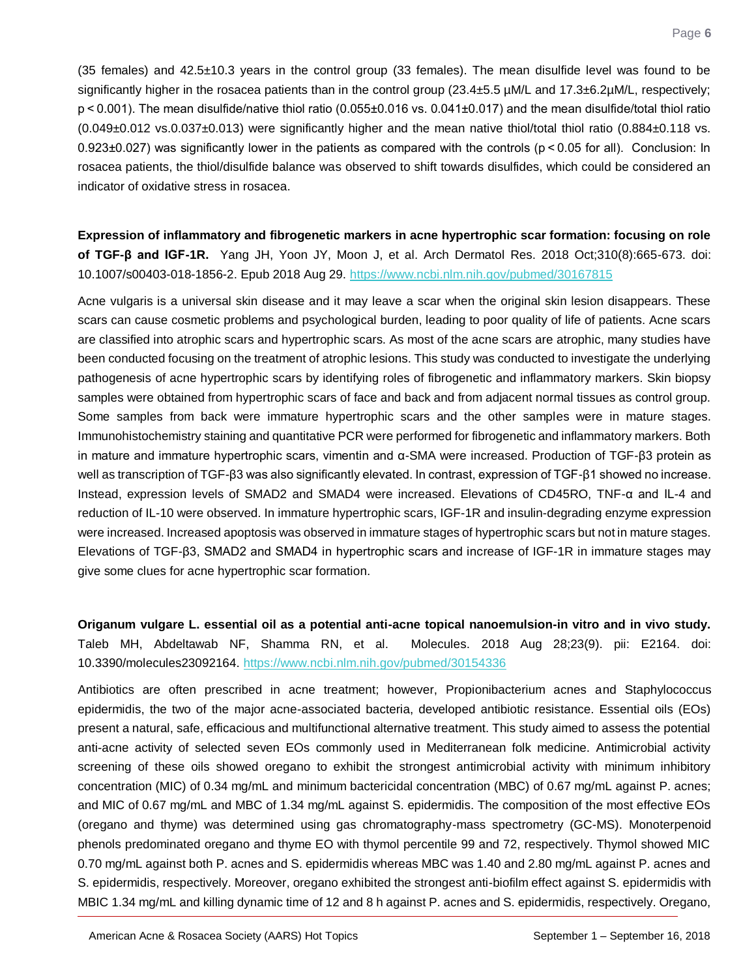(35 females) and 42.5±10.3 years in the control group (33 females). The mean disulfide level was found to be significantly higher in the rosacea patients than in the control group (23.4±5.5 µM/L and 17.3±6.2µM/L, respectively; p < 0.001). The mean disulfide/native thiol ratio (0.055±0.016 vs. 0.041±0.017) and the mean disulfide/total thiol ratio (0.049±0.012 vs.0.037±0.013) were significantly higher and the mean native thiol/total thiol ratio (0.884±0.118 vs. 0.923±0.027) was significantly lower in the patients as compared with the controls (p < 0.05 for all). Conclusion: In rosacea patients, the thiol/disulfide balance was observed to shift towards disulfides, which could be considered an indicator of oxidative stress in rosacea.

<span id="page-6-0"></span>**Expression of inflammatory and fibrogenetic markers in acne hypertrophic scar formation: focusing on role of TGF-β and IGF-1R.** Yang JH, Yoon JY, Moon J, et al. Arch Dermatol Res. 2018 Oct;310(8):665-673. doi: 10.1007/s00403-018-1856-2. Epub 2018 Aug 29.<https://www.ncbi.nlm.nih.gov/pubmed/30167815>

Acne vulgaris is a universal skin disease and it may leave a scar when the original skin lesion disappears. These scars can cause cosmetic problems and psychological burden, leading to poor quality of life of patients. Acne scars are classified into atrophic scars and hypertrophic scars. As most of the acne scars are atrophic, many studies have been conducted focusing on the treatment of atrophic lesions. This study was conducted to investigate the underlying pathogenesis of acne hypertrophic scars by identifying roles of fibrogenetic and inflammatory markers. Skin biopsy samples were obtained from hypertrophic scars of face and back and from adjacent normal tissues as control group. Some samples from back were immature hypertrophic scars and the other samples were in mature stages. Immunohistochemistry staining and quantitative PCR were performed for fibrogenetic and inflammatory markers. Both in mature and immature hypertrophic scars, vimentin and α-SMA were increased. Production of TGF-β3 protein as well as transcription of TGF-β3 was also significantly elevated. In contrast, expression of TGF-β1 showed no increase. Instead, expression levels of SMAD2 and SMAD4 were increased. Elevations of CD45RO, TNF-α and IL-4 and reduction of IL-10 were observed. In immature hypertrophic scars, IGF-1R and insulin-degrading enzyme expression were increased. Increased apoptosis was observed in immature stages of hypertrophic scars but not in mature stages. Elevations of TGF-β3, SMAD2 and SMAD4 in hypertrophic scars and increase of IGF-1R in immature stages may give some clues for acne hypertrophic scar formation.

<span id="page-6-1"></span>**Origanum vulgare L. essential oil as a potential anti-acne topical nanoemulsion-in vitro and in vivo study.** Taleb MH, Abdeltawab NF, Shamma RN, et al. Molecules. 2018 Aug 28;23(9). pii: E2164. doi: 10.3390/molecules23092164.<https://www.ncbi.nlm.nih.gov/pubmed/30154336>

Antibiotics are often prescribed in acne treatment; however, Propionibacterium acnes and Staphylococcus epidermidis, the two of the major acne-associated bacteria, developed antibiotic resistance. Essential oils (EOs) present a natural, safe, efficacious and multifunctional alternative treatment. This study aimed to assess the potential anti-acne activity of selected seven EOs commonly used in Mediterranean folk medicine. Antimicrobial activity screening of these oils showed oregano to exhibit the strongest antimicrobial activity with minimum inhibitory concentration (MIC) of 0.34 mg/mL and minimum bactericidal concentration (MBC) of 0.67 mg/mL against P. acnes; and MIC of 0.67 mg/mL and MBC of 1.34 mg/mL against S. epidermidis. The composition of the most effective EOs (oregano and thyme) was determined using gas chromatography-mass spectrometry (GC-MS). Monoterpenoid phenols predominated oregano and thyme EO with thymol percentile 99 and 72, respectively. Thymol showed MIC 0.70 mg/mL against both P. acnes and S. epidermidis whereas MBC was 1.40 and 2.80 mg/mL against P. acnes and S. epidermidis, respectively. Moreover, oregano exhibited the strongest anti-biofilm effect against S. epidermidis with MBIC 1.34 mg/mL and killing dynamic time of 12 and 8 h against P. acnes and S. epidermidis, respectively. Oregano,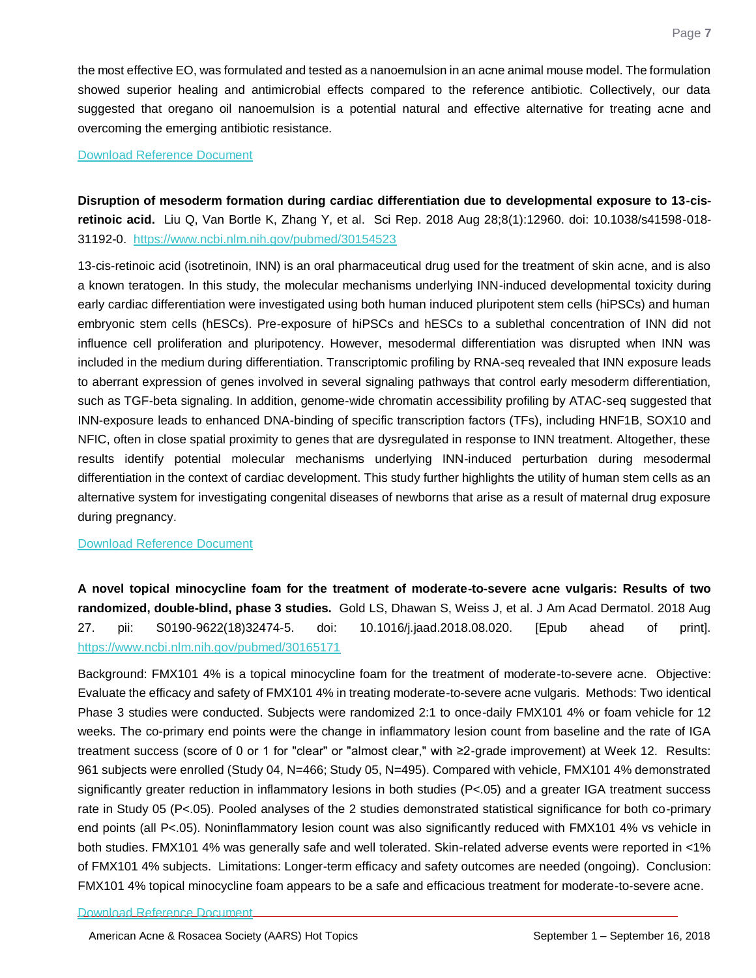the most effective EO, was formulated and tested as a nanoemulsion in an acne animal mouse model. The formulation showed superior healing and antimicrobial effects compared to the reference antibiotic. Collectively, our data suggested that oregano oil nanoemulsion is a potential natural and effective alternative for treating acne and overcoming the emerging antibiotic resistance.

#### [Download Reference Document](http://files.constantcontact.com/c2fa20d1101/0cb1cd15-5e7e-4370-bf23-34c2af899055.pdf)

<span id="page-7-0"></span>**Disruption of mesoderm formation during cardiac differentiation due to developmental exposure to 13-cisretinoic acid.** Liu Q, Van Bortle K, Zhang Y, et al. Sci Rep. 2018 Aug 28;8(1):12960. doi: 10.1038/s41598-018- 31192-0. <https://www.ncbi.nlm.nih.gov/pubmed/30154523>

13-cis-retinoic acid (isotretinoin, INN) is an oral pharmaceutical drug used for the treatment of skin acne, and is also a known teratogen. In this study, the molecular mechanisms underlying INN-induced developmental toxicity during early cardiac differentiation were investigated using both human induced pluripotent stem cells (hiPSCs) and human embryonic stem cells (hESCs). Pre-exposure of hiPSCs and hESCs to a sublethal concentration of INN did not influence cell proliferation and pluripotency. However, mesodermal differentiation was disrupted when INN was included in the medium during differentiation. Transcriptomic profiling by RNA-seq revealed that INN exposure leads to aberrant expression of genes involved in several signaling pathways that control early mesoderm differentiation, such as TGF-beta signaling. In addition, genome-wide chromatin accessibility profiling by ATAC-seq suggested that INN-exposure leads to enhanced DNA-binding of specific transcription factors (TFs), including HNF1B, SOX10 and NFIC, often in close spatial proximity to genes that are dysregulated in response to INN treatment. Altogether, these results identify potential molecular mechanisms underlying INN-induced perturbation during mesodermal differentiation in the context of cardiac development. This study further highlights the utility of human stem cells as an alternative system for investigating congenital diseases of newborns that arise as a result of maternal drug exposure during pregnancy.

#### [Download Reference Document](http://files.constantcontact.com/c2fa20d1101/489b1161-e00b-4ae0-abde-76974106cc51.pdf)

<span id="page-7-1"></span>**A novel topical minocycline foam for the treatment of moderate-to-severe acne vulgaris: Results of two randomized, double-blind, phase 3 studies.** Gold LS, Dhawan S, Weiss J, et al. J Am Acad Dermatol. 2018 Aug 27. pii: S0190-9622(18)32474-5. doi: 10.1016/j.jaad.2018.08.020. [Epub ahead of print]. <https://www.ncbi.nlm.nih.gov/pubmed/30165171>

Background: FMX101 4% is a topical minocycline foam for the treatment of moderate-to-severe acne. Objective: Evaluate the efficacy and safety of FMX101 4% in treating moderate-to-severe acne vulgaris. Methods: Two identical Phase 3 studies were conducted. Subjects were randomized 2:1 to once-daily FMX101 4% or foam vehicle for 12 weeks. The co-primary end points were the change in inflammatory lesion count from baseline and the rate of IGA treatment success (score of 0 or 1 for "clear" or "almost clear," with ≥2-grade improvement) at Week 12. Results: 961 subjects were enrolled (Study 04, N=466; Study 05, N=495). Compared with vehicle, FMX101 4% demonstrated significantly greater reduction in inflammatory lesions in both studies (P<.05) and a greater IGA treatment success rate in Study 05 (P<.05). Pooled analyses of the 2 studies demonstrated statistical significance for both co-primary end points (all P<.05). Noninflammatory lesion count was also significantly reduced with FMX101 4% vs vehicle in both studies. FMX101 4% was generally safe and well tolerated. Skin-related adverse events were reported in <1% of FMX101 4% subjects. Limitations: Longer-term efficacy and safety outcomes are needed (ongoing). Conclusion: FMX101 4% topical minocycline foam appears to be a safe and efficacious treatment for moderate-to-severe acne.

[Download Reference Document](http://files.constantcontact.com/c2fa20d1101/bf9b53f2-50cf-4e37-8339-ed087b7adee2.pdf)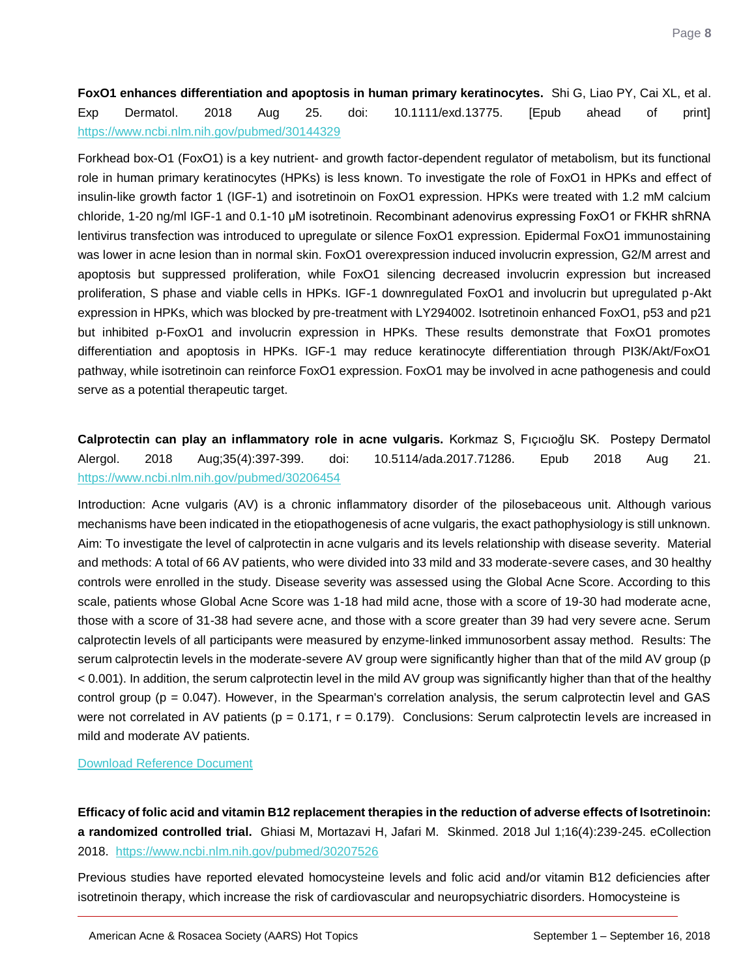<span id="page-8-0"></span>**FoxO1 enhances differentiation and apoptosis in human primary keratinocytes.** Shi G, Liao PY, Cai XL, et al. Exp Dermatol. 2018 Aug 25. doi: 10.1111/exd.13775. [Epub ahead of print] <https://www.ncbi.nlm.nih.gov/pubmed/30144329>

Forkhead box-O1 (FoxO1) is a key nutrient- and growth factor-dependent regulator of metabolism, but its functional role in human primary keratinocytes (HPKs) is less known. To investigate the role of FoxO1 in HPKs and effect of insulin-like growth factor 1 (IGF-1) and isotretinoin on FoxO1 expression. HPKs were treated with 1.2 mM calcium chloride, 1-20 ng/ml IGF-1 and 0.1-10 μM isotretinoin. Recombinant adenovirus expressing FoxO1 or FKHR shRNA lentivirus transfection was introduced to upregulate or silence FoxO1 expression. Epidermal FoxO1 immunostaining was lower in acne lesion than in normal skin. FoxO1 overexpression induced involucrin expression, G2/M arrest and apoptosis but suppressed proliferation, while FoxO1 silencing decreased involucrin expression but increased proliferation, S phase and viable cells in HPKs. IGF-1 downregulated FoxO1 and involucrin but upregulated p-Akt expression in HPKs, which was blocked by pre-treatment with LY294002. Isotretinoin enhanced FoxO1, p53 and p21 but inhibited p-FoxO1 and involucrin expression in HPKs. These results demonstrate that FoxO1 promotes differentiation and apoptosis in HPKs. IGF-1 may reduce keratinocyte differentiation through PI3K/Akt/FoxO1 pathway, while isotretinoin can reinforce FoxO1 expression. FoxO1 may be involved in acne pathogenesis and could serve as a potential therapeutic target.

# <span id="page-8-1"></span>**Calprotectin can play an inflammatory role in acne vulgaris.** Korkmaz S, Fıçıcıoğlu SK. Postepy Dermatol Alergol. 2018 Aug;35(4):397-399. doi: 10.5114/ada.2017.71286. Epub 2018 Aug 21. <https://www.ncbi.nlm.nih.gov/pubmed/30206454>

Introduction: Acne vulgaris (AV) is a chronic inflammatory disorder of the pilosebaceous unit. Although various mechanisms have been indicated in the etiopathogenesis of acne vulgaris, the exact pathophysiology is still unknown. Aim: To investigate the level of calprotectin in acne vulgaris and its levels relationship with disease severity. Material and methods: A total of 66 AV patients, who were divided into 33 mild and 33 moderate-severe cases, and 30 healthy controls were enrolled in the study. Disease severity was assessed using the Global Acne Score. According to this scale, patients whose Global Acne Score was 1-18 had mild acne, those with a score of 19-30 had moderate acne, those with a score of 31-38 had severe acne, and those with a score greater than 39 had very severe acne. Serum calprotectin levels of all participants were measured by enzyme-linked immunosorbent assay method. Results: The serum calprotectin levels in the moderate-severe AV group were significantly higher than that of the mild AV group (p < 0.001). In addition, the serum calprotectin level in the mild AV group was significantly higher than that of the healthy control group (p = 0.047). However, in the Spearman's correlation analysis, the serum calprotectin level and GAS were not correlated in AV patients (p = 0.171, r = 0.179). Conclusions: Serum calprotectin levels are increased in mild and moderate AV patients.

[Download Reference Document](http://files.constantcontact.com/c2fa20d1101/0181c0ad-0d46-4be7-9a0e-70edc27183ed.pdf)

<span id="page-8-2"></span>**Efficacy of folic acid and vitamin B12 replacement therapies in the reduction of adverse effects of Isotretinoin: a randomized controlled trial.** Ghiasi M, Mortazavi H, Jafari M. Skinmed. 2018 Jul 1;16(4):239-245. eCollection 2018. <https://www.ncbi.nlm.nih.gov/pubmed/30207526>

Previous studies have reported elevated homocysteine levels and folic acid and/or vitamin B12 deficiencies after isotretinoin therapy, which increase the risk of cardiovascular and neuropsychiatric disorders. Homocysteine is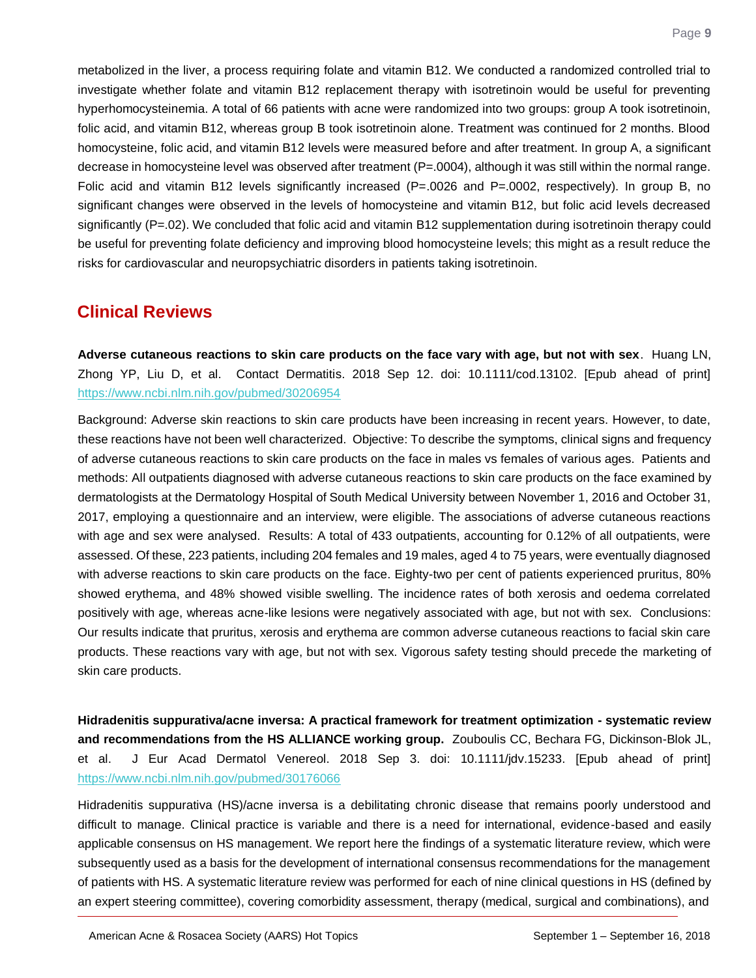metabolized in the liver, a process requiring folate and vitamin B12. We conducted a randomized controlled trial to investigate whether folate and vitamin B12 replacement therapy with isotretinoin would be useful for preventing hyperhomocysteinemia. A total of 66 patients with acne were randomized into two groups: group A took isotretinoin, folic acid, and vitamin B12, whereas group B took isotretinoin alone. Treatment was continued for 2 months. Blood homocysteine, folic acid, and vitamin B12 levels were measured before and after treatment. In group A, a significant decrease in homocysteine level was observed after treatment (P=.0004), although it was still within the normal range. Folic acid and vitamin B12 levels significantly increased (P=.0026 and P=.0002, respectively). In group B, no significant changes were observed in the levels of homocysteine and vitamin B12, but folic acid levels decreased significantly (P=.02). We concluded that folic acid and vitamin B12 supplementation during isotretinoin therapy could be useful for preventing folate deficiency and improving blood homocysteine levels; this might as a result reduce the risks for cardiovascular and neuropsychiatric disorders in patients taking isotretinoin.

# **Clinical Reviews**

<span id="page-9-0"></span>**Adverse cutaneous reactions to skin care products on the face vary with age, but not with sex**. Huang LN, Zhong YP, Liu D, et al. Contact Dermatitis. 2018 Sep 12. doi: 10.1111/cod.13102. [Epub ahead of print] <https://www.ncbi.nlm.nih.gov/pubmed/30206954>

Background: Adverse skin reactions to skin care products have been increasing in recent years. However, to date, these reactions have not been well characterized. Objective: To describe the symptoms, clinical signs and frequency of adverse cutaneous reactions to skin care products on the face in males vs females of various ages. Patients and methods: All outpatients diagnosed with adverse cutaneous reactions to skin care products on the face examined by dermatologists at the Dermatology Hospital of South Medical University between November 1, 2016 and October 31, 2017, employing a questionnaire and an interview, were eligible. The associations of adverse cutaneous reactions with age and sex were analysed. Results: A total of 433 outpatients, accounting for 0.12% of all outpatients, were assessed. Of these, 223 patients, including 204 females and 19 males, aged 4 to 75 years, were eventually diagnosed with adverse reactions to skin care products on the face. Eighty-two per cent of patients experienced pruritus, 80% showed erythema, and 48% showed visible swelling. The incidence rates of both xerosis and oedema correlated positively with age, whereas acne-like lesions were negatively associated with age, but not with sex. Conclusions: Our results indicate that pruritus, xerosis and erythema are common adverse cutaneous reactions to facial skin care products. These reactions vary with age, but not with sex. Vigorous safety testing should precede the marketing of skin care products.

<span id="page-9-1"></span>**Hidradenitis suppurativa/acne inversa: A practical framework for treatment optimization - systematic review and recommendations from the HS ALLIANCE working group.** Zouboulis CC, Bechara FG, Dickinson-Blok JL, et al. J Eur Acad Dermatol Venereol. 2018 Sep 3. doi: 10.1111/jdv.15233. [Epub ahead of print] <https://www.ncbi.nlm.nih.gov/pubmed/30176066>

Hidradenitis suppurativa (HS)/acne inversa is a debilitating chronic disease that remains poorly understood and difficult to manage. Clinical practice is variable and there is a need for international, evidence-based and easily applicable consensus on HS management. We report here the findings of a systematic literature review, which were subsequently used as a basis for the development of international consensus recommendations for the management of patients with HS. A systematic literature review was performed for each of nine clinical questions in HS (defined by an expert steering committee), covering comorbidity assessment, therapy (medical, surgical and combinations), and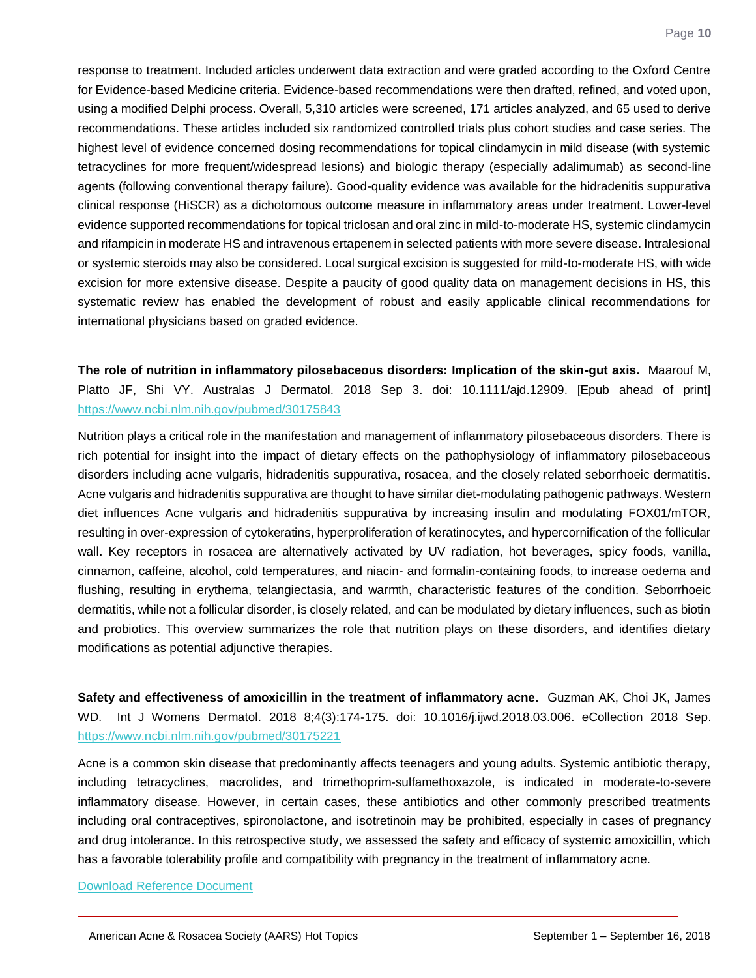response to treatment. Included articles underwent data extraction and were graded according to the Oxford Centre for Evidence-based Medicine criteria. Evidence-based recommendations were then drafted, refined, and voted upon, using a modified Delphi process. Overall, 5,310 articles were screened, 171 articles analyzed, and 65 used to derive recommendations. These articles included six randomized controlled trials plus cohort studies and case series. The highest level of evidence concerned dosing recommendations for topical clindamycin in mild disease (with systemic tetracyclines for more frequent/widespread lesions) and biologic therapy (especially adalimumab) as second-line agents (following conventional therapy failure). Good-quality evidence was available for the hidradenitis suppurativa clinical response (HiSCR) as a dichotomous outcome measure in inflammatory areas under treatment. Lower-level evidence supported recommendations for topical triclosan and oral zinc in mild-to-moderate HS, systemic clindamycin and rifampicin in moderate HS and intravenous ertapenem in selected patients with more severe disease. Intralesional or systemic steroids may also be considered. Local surgical excision is suggested for mild-to-moderate HS, with wide excision for more extensive disease. Despite a paucity of good quality data on management decisions in HS, this systematic review has enabled the development of robust and easily applicable clinical recommendations for international physicians based on graded evidence.

<span id="page-10-0"></span>**The role of nutrition in inflammatory pilosebaceous disorders: Implication of the skin-gut axis.** Maarouf M, Platto JF, Shi VY. Australas J Dermatol. 2018 Sep 3. doi: 10.1111/ajd.12909. [Epub ahead of print] <https://www.ncbi.nlm.nih.gov/pubmed/30175843>

Nutrition plays a critical role in the manifestation and management of inflammatory pilosebaceous disorders. There is rich potential for insight into the impact of dietary effects on the pathophysiology of inflammatory pilosebaceous disorders including acne vulgaris, hidradenitis suppurativa, rosacea, and the closely related seborrhoeic dermatitis. Acne vulgaris and hidradenitis suppurativa are thought to have similar diet-modulating pathogenic pathways. Western diet influences Acne vulgaris and hidradenitis suppurativa by increasing insulin and modulating FOX01/mTOR, resulting in over-expression of cytokeratins, hyperproliferation of keratinocytes, and hypercornification of the follicular wall. Key receptors in rosacea are alternatively activated by UV radiation, hot beverages, spicy foods, vanilla, cinnamon, caffeine, alcohol, cold temperatures, and niacin- and formalin-containing foods, to increase oedema and flushing, resulting in erythema, telangiectasia, and warmth, characteristic features of the condition. Seborrhoeic dermatitis, while not a follicular disorder, is closely related, and can be modulated by dietary influences, such as biotin and probiotics. This overview summarizes the role that nutrition plays on these disorders, and identifies dietary modifications as potential adjunctive therapies.

<span id="page-10-1"></span>**Safety and effectiveness of amoxicillin in the treatment of inflammatory acne.** Guzman AK, Choi JK, James WD. Int J Womens Dermatol. 2018 8;4(3):174-175. doi: 10.1016/j.ijwd.2018.03.006. eCollection 2018 Sep. <https://www.ncbi.nlm.nih.gov/pubmed/30175221>

Acne is a common skin disease that predominantly affects teenagers and young adults. Systemic antibiotic therapy, including tetracyclines, macrolides, and trimethoprim-sulfamethoxazole, is indicated in moderate-to-severe inflammatory disease. However, in certain cases, these antibiotics and other commonly prescribed treatments including oral contraceptives, spironolactone, and isotretinoin may be prohibited, especially in cases of pregnancy and drug intolerance. In this retrospective study, we assessed the safety and efficacy of systemic amoxicillin, which has a favorable tolerability profile and compatibility with pregnancy in the treatment of inflammatory acne.

#### [Download Reference Document](http://files.constantcontact.com/c2fa20d1101/645b4b5b-3d3f-4ddd-ba52-9d06123ab07b.pdf)